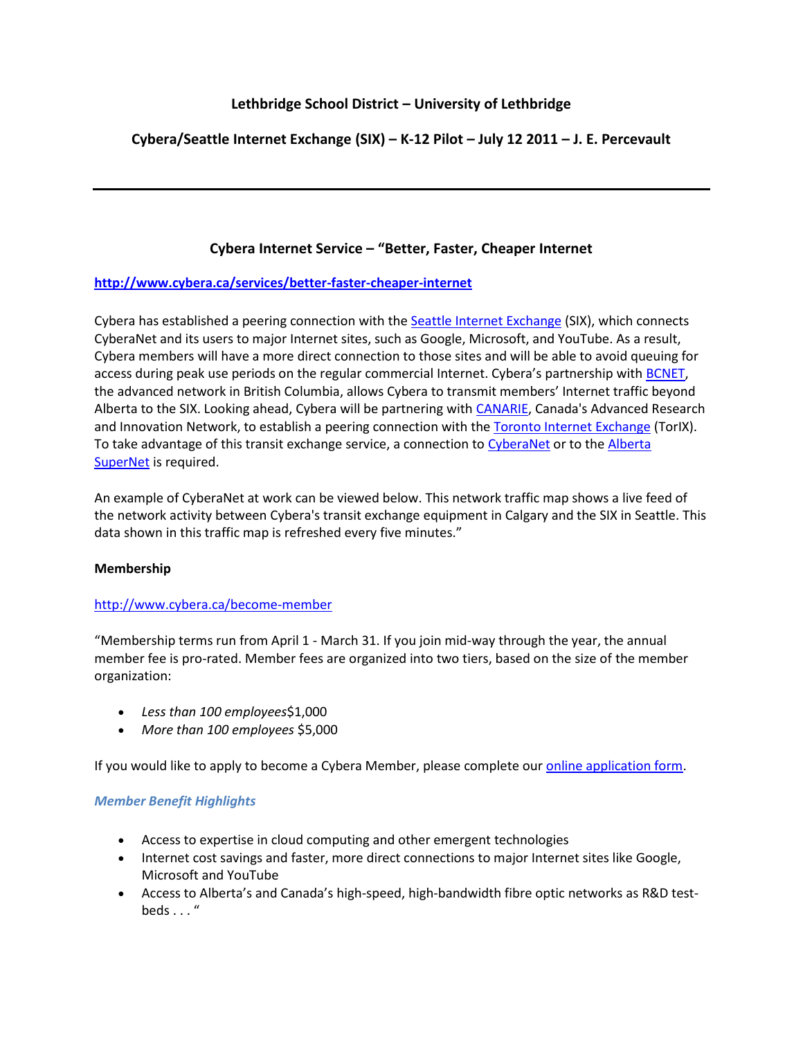# **Lethbridge School District – University of Lethbridge**

# **Cybera/Seattle Internet Exchange (SIX) – K-12 Pilot – July 12 2011 – J. E. Percevault**

## **Cybera Internet Service – "Better, Faster, Cheaper Internet**

### **<http://www.cybera.ca/services/better-faster-cheaper-internet>**

Cybera has established a peering connection with the [Seattle Internet Exchange](http://www.seattleix.net/) (SIX), which connects CyberaNet and its users to major Internet sites, such as Google, Microsoft, and YouTube. As a result, Cybera members will have a more direct connection to those sites and will be able to avoid queuing for access during peak use periods on the regular commercial Internet. Cybera's partnership with [BCNET,](http://www.bc.net/) the advanced network in British Columbia, allows Cybera to transmit members' Internet traffic beyond Alberta to the SIX. Looking ahead, Cybera will be partnering with [CANARIE,](http://www.canarie.ca/en) Canada's Advanced Research and Innovation Network, to establish a peering connection with th[e Toronto Internet Exchange](http://www.torix.net/) (TorIX). To take advantage of this transit exchange service, a connection to [CyberaNet](http://www.cybera.ca/services/cyberanet-albertas-advanced-network-rd) or to the Alberta [SuperNet](http://www.servicealberta.gov.ab.ca/AlbertaSuperNet.cfm) is required.

An example of CyberaNet at work can be viewed below. This network traffic map shows a live feed of the network activity between Cybera's transit exchange equipment in Calgary and the SIX in Seattle. This data shown in this traffic map is refreshed every five minutes."

### **Membership**

### <http://www.cybera.ca/become-member>

"Membership terms run from April 1 - March 31. If you join mid-way through the year, the annual member fee is pro-rated. Member fees are organized into two tiers, based on the size of the member organization:

- *Less than 100 employees*\$1,000
- *More than 100 employees* \$5,000

If you would like to apply to become a Cybera Member, please complete our *online application form*.

### *Member Benefit Highlights*

- Access to expertise in cloud computing and other emergent technologies
- Internet cost savings and faster, more direct connections to major Internet sites like Google, Microsoft and YouTube
- Access to Alberta's and Canada's high-speed, high-bandwidth fibre optic networks as R&D test $beds...$ "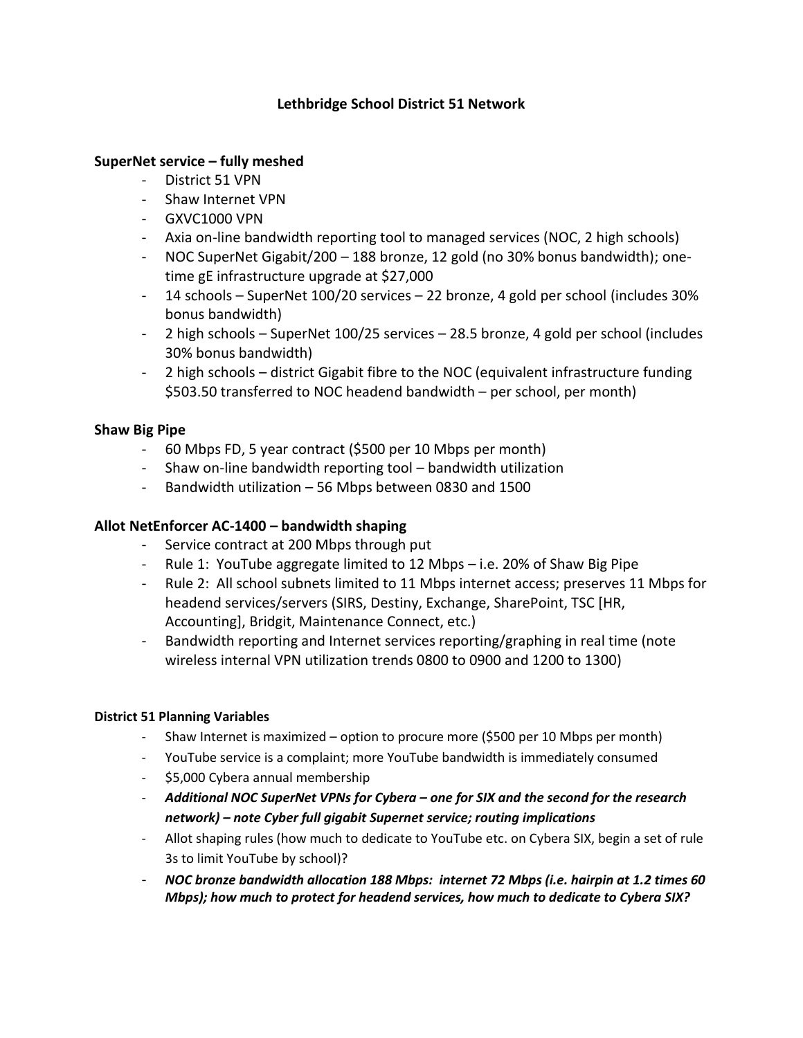## **Lethbridge School District 51 Network**

## **SuperNet service – fully meshed**

- District 51 VPN
- Shaw Internet VPN
- GXVC1000 VPN
- Axia on-line bandwidth reporting tool to managed services (NOC, 2 high schools)
- NOC SuperNet Gigabit/200 188 bronze, 12 gold (no 30% bonus bandwidth); onetime gE infrastructure upgrade at \$27,000
- 14 schools SuperNet 100/20 services 22 bronze, 4 gold per school (includes 30% bonus bandwidth)
- 2 high schools SuperNet 100/25 services 28.5 bronze, 4 gold per school (includes 30% bonus bandwidth)
- 2 high schools district Gigabit fibre to the NOC (equivalent infrastructure funding \$503.50 transferred to NOC headend bandwidth – per school, per month)

## **Shaw Big Pipe**

- 60 Mbps FD, 5 year contract (\$500 per 10 Mbps per month)
- Shaw on-line bandwidth reporting tool bandwidth utilization
- Bandwidth utilization 56 Mbps between 0830 and 1500

## **Allot NetEnforcer AC-1400 – bandwidth shaping**

- Service contract at 200 Mbps through put
- Rule 1: YouTube aggregate limited to 12 Mbps i.e. 20% of Shaw Big Pipe
- Rule 2: All school subnets limited to 11 Mbps internet access; preserves 11 Mbps for headend services/servers (SIRS, Destiny, Exchange, SharePoint, TSC [HR, Accounting], Bridgit, Maintenance Connect, etc.)
- Bandwidth reporting and Internet services reporting/graphing in real time (note wireless internal VPN utilization trends 0800 to 0900 and 1200 to 1300)

### **District 51 Planning Variables**

- Shaw Internet is maximized option to procure more (\$500 per 10 Mbps per month)
- YouTube service is a complaint; more YouTube bandwidth is immediately consumed
- \$5,000 Cybera annual membership
- *Additional NOC SuperNet VPNs for Cybera – one for SIX and the second for the research network) – note Cyber full gigabit Supernet service; routing implications*
- Allot shaping rules (how much to dedicate to YouTube etc. on Cybera SIX, begin a set of rule 3s to limit YouTube by school)?
- *NOC bronze bandwidth allocation 188 Mbps: internet 72 Mbps (i.e. hairpin at 1.2 times 60 Mbps); how much to protect for headend services, how much to dedicate to Cybera SIX?*